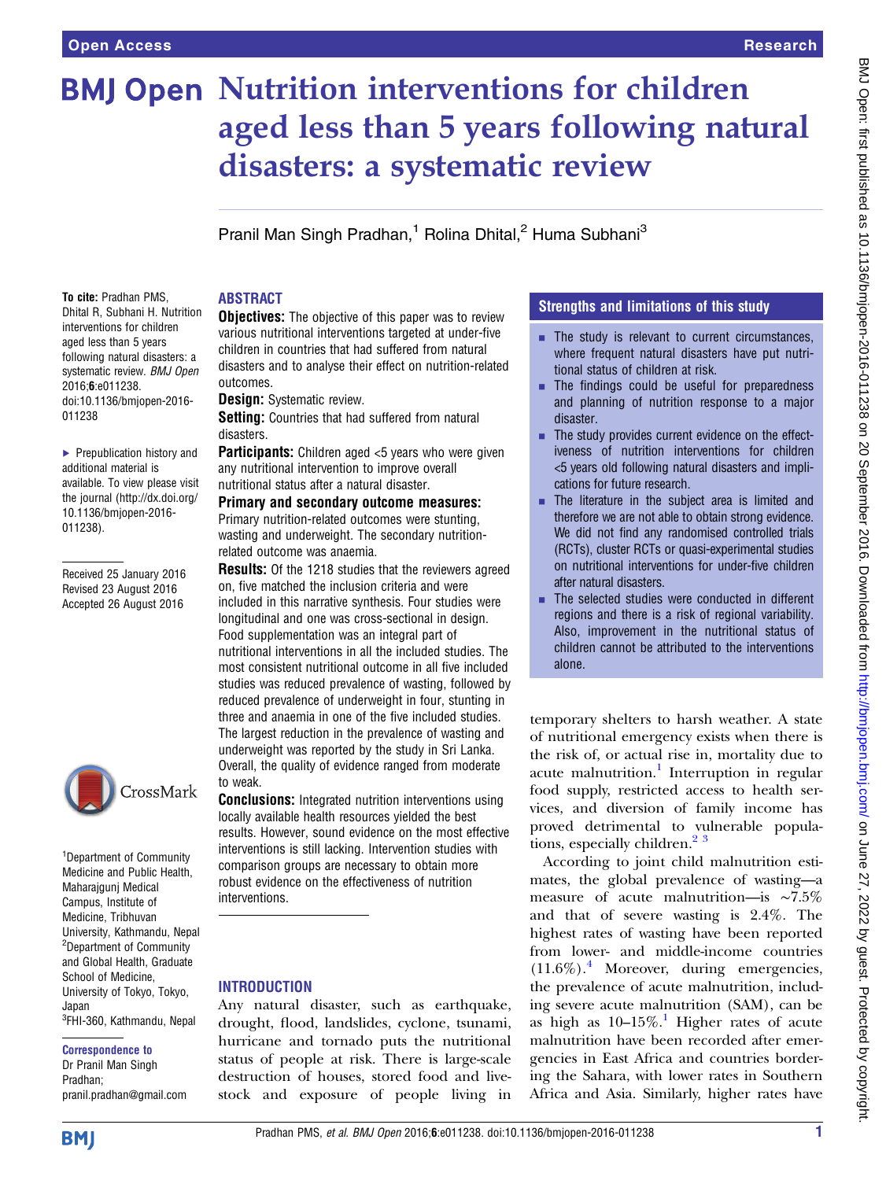# **BMJ Open Nutrition interventions for children** aged less than 5 years following natural disasters: a systematic review

Pranil Man Singh Pradhan,<sup>1</sup> Rolina Dhital,<sup>2</sup> Huma Subhani<sup>3</sup>

To cite: Pradhan PMS, Dhital R, Subhani H. Nutrition interventions for children aged less than 5 years following natural disasters: a systematic review. **BMJ Open** 2016;6:e011238. doi:10.1136/bmjopen-2016- 011238

▶ Prepublication history and additional material is available. To view please visit the journal [\(http://dx.doi.org/](http://dx.doi.org/10.1136/bmjopen-2016-011238) [10.1136/bmjopen-2016-](http://dx.doi.org/10.1136/bmjopen-2016-011238) [011238\)](http://dx.doi.org/10.1136/bmjopen-2016-011238).

Received 25 January 2016 Revised 23 August 2016 Accepted 26 August 2016



<sup>1</sup>Department of Community Medicine and Public Health, Maharajgunj Medical Campus, Institute of Medicine, Tribhuvan University, Kathmandu, Nepal <sup>2</sup>Department of Community and Global Health, Graduate School of Medicine, University of Tokyo, Tokyo, Japan <sup>3</sup>FHI-360, Kathmandu, Nepal

#### Correspondence to

Dr Pranil Man Singh Pradhan; pranil.pradhan@gmail.com

## ABSTRACT

**Objectives:** The objective of this paper was to review various nutritional interventions targeted at under-five children in countries that had suffered from natural disasters and to analyse their effect on nutrition-related outcomes.

Design: Systematic review.

Setting: Countries that had suffered from natural disasters.

**Participants:** Children aged  $\lt5$  years who were given any nutritional intervention to improve overall nutritional status after a natural disaster.

#### Primary and secondary outcome measures:

Primary nutrition-related outcomes were stunting, wasting and underweight. The secondary nutritionrelated outcome was anaemia.

Results: Of the 1218 studies that the reviewers agreed on, five matched the inclusion criteria and were included in this narrative synthesis. Four studies were longitudinal and one was cross-sectional in design. Food supplementation was an integral part of nutritional interventions in all the included studies. The most consistent nutritional outcome in all five included studies was reduced prevalence of wasting, followed by reduced prevalence of underweight in four, stunting in three and anaemia in one of the five included studies. The largest reduction in the prevalence of wasting and underweight was reported by the study in Sri Lanka. Overall, the quality of evidence ranged from moderate to weak.

**Conclusions:** Integrated nutrition interventions using locally available health resources yielded the best results. However, sound evidence on the most effective interventions is still lacking. Intervention studies with comparison groups are necessary to obtain more robust evidence on the effectiveness of nutrition interventions.

#### **INTRODUCTION**

Any natural disaster, such as earthquake, drought, flood, landslides, cyclone, tsunami, hurricane and tornado puts the nutritional status of people at risk. There is large-scale destruction of houses, stored food and livestock and exposure of people living in

#### Strengths and limitations of this study

- $\blacksquare$  The study is relevant to current circumstances, where frequent natural disasters have put nutritional status of children at risk.
- The findings could be useful for preparedness and planning of nutrition response to a major disaster.
- The study provides current evidence on the effectiveness of nutrition interventions for children <5 years old following natural disasters and implications for future research.
- **•** The literature in the subject area is limited and therefore we are not able to obtain strong evidence. We did not find any randomised controlled trials (RCTs), cluster RCTs or quasi-experimental studies on nutritional interventions for under-five children after natural disasters.
- $\blacksquare$  The selected studies were conducted in different regions and there is a risk of regional variability. Also, improvement in the nutritional status of children cannot be attributed to the interventions alone.

temporary shelters to harsh weather. A state of nutritional emergency exists when there is the risk of, or actual rise in, mortality due to acute malnutrition.<sup>1</sup> Interruption in regular food supply, restricted access to health services, and diversion of family income has proved detrimental to vulnerable populations, especially children.<sup>23</sup>

According to joint child malnutrition estimates, the global prevalence of wasting—a measure of acute malnutrition—is ∼7.5% and that of severe wasting is 2.4%. The highest rates of wasting have been reported from lower- and middle-income countries  $(11.6\%)$ <sup>[4](#page-8-0)</sup> Moreover, during emergencies, the prevalence of acute malnutrition, including severe acute malnutrition (SAM), can be as high as  $10-15\%$  $10-15\%$ .<sup>1</sup> Higher rates of acute malnutrition have been recorded after emergencies in East Africa and countries bordering the Sahara, with lower rates in Southern Africa and Asia. Similarly, higher rates have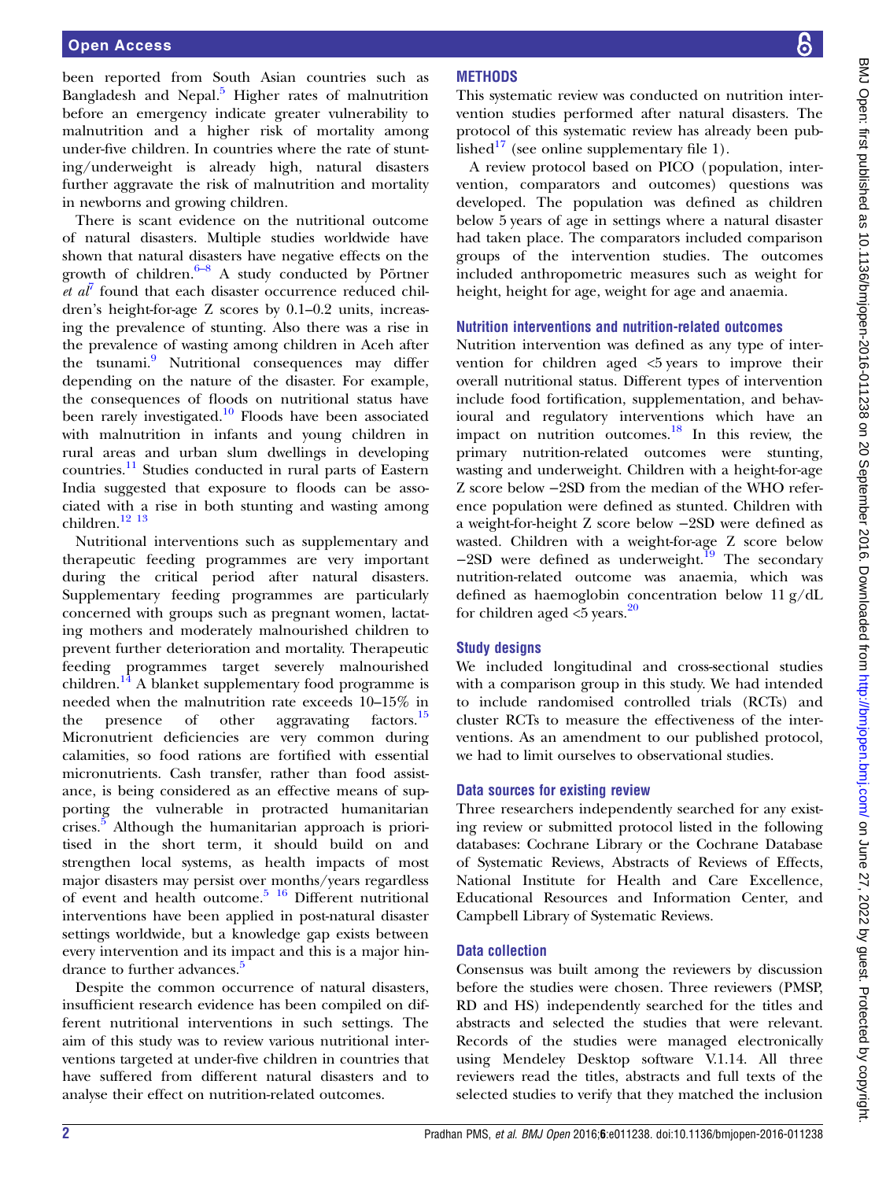been reported from South Asian countries such as Bangladesh and Nepal. $5$  Higher rates of malnutrition before an emergency indicate greater vulnerability to malnutrition and a higher risk of mortality among under-five children. In countries where the rate of stunting/underweight is already high, natural disasters further aggravate the risk of malnutrition and mortality in newborns and growing children.

There is scant evidence on the nutritional outcome of natural disasters. Multiple studies worldwide have shown that natural disasters have negative effects on the growth of children. $6-8$  $6-8$  A study conducted by Pörtner et  $a\bar{l}$  found that each disaster occurrence reduced children's height-for-age Z scores by 0.1–0.2 units, increasing the prevalence of stunting. Also there was a rise in the prevalence of wasting among children in Aceh after the tsunami.<sup>[9](#page-8-0)</sup> Nutritional consequences may differ depending on the nature of the disaster. For example, the consequences of floods on nutritional status have been rarely investigated.<sup>[10](#page-8-0)</sup> Floods have been associated with malnutrition in infants and young children in rural areas and urban slum dwellings in developing countries.[11](#page-8-0) Studies conducted in rural parts of Eastern India suggested that exposure to floods can be associated with a rise in both stunting and wasting among children.[12 13](#page-8-0)

Nutritional interventions such as supplementary and therapeutic feeding programmes are very important during the critical period after natural disasters. Supplementary feeding programmes are particularly concerned with groups such as pregnant women, lactating mothers and moderately malnourished children to prevent further deterioration and mortality. Therapeutic feeding programmes target severely malnourished children.<sup>[14](#page-8-0)</sup> A blanket supplementary food programme is needed when the malnutrition rate exceeds 10–15% in the presence of other aggravating factors.<sup>[15](#page-8-0)</sup> Micronutrient deficiencies are very common during calamities, so food rations are fortified with essential micronutrients. Cash transfer, rather than food assistance, is being considered as an effective means of supporting the vulnerable in protracted humanitarian crises.[5](#page-8-0) Although the humanitarian approach is prioritised in the short term, it should build on and strengthen local systems, as health impacts of most major disasters may persist over months/years regardless of event and health outcome.<sup>5</sup> <sup>16</sup> Different nutritional interventions have been applied in post-natural disaster settings worldwide, but a knowledge gap exists between every intervention and its impact and this is a major hin-drance to further advances.<sup>[5](#page-8-0)</sup>

Despite the common occurrence of natural disasters, insufficient research evidence has been compiled on different nutritional interventions in such settings. The aim of this study was to review various nutritional interventions targeted at under-five children in countries that have suffered from different natural disasters and to analyse their effect on nutrition-related outcomes.

## **METHODS**

This systematic review was conducted on nutrition intervention studies performed after natural disasters. The protocol of this systematic review has already been published $17$  (see online supplementary file 1).

A review protocol based on PICO (population, intervention, comparators and outcomes) questions was developed. The population was defined as children below 5 years of age in settings where a natural disaster had taken place. The comparators included comparison groups of the intervention studies. The outcomes included anthropometric measures such as weight for height, height for age, weight for age and anaemia.

#### Nutrition interventions and nutrition-related outcomes

Nutrition intervention was defined as any type of intervention for children aged <5 years to improve their overall nutritional status. Different types of intervention include food fortification, supplementation, and behavioural and regulatory interventions which have an impact on nutrition outcomes.<sup>[18](#page-8-0)</sup> In this review, the primary nutrition-related outcomes were stunting, wasting and underweight. Children with a height-for-age Z score below −2SD from the median of the WHO reference population were defined as stunted. Children with a weight-for-height Z score below −2SD were defined as wasted. Children with a weight-for-age Z score below −2SD were defined as underweight.<sup>[19](#page-8-0)</sup> The secondary nutrition-related outcome was anaemia, which was defined as haemoglobin concentration below 11 g/dL for children aged  $\langle 5 \rangle$  years.<sup>[20](#page-8-0)</sup>

#### Study designs

We included longitudinal and cross-sectional studies with a comparison group in this study. We had intended to include randomised controlled trials (RCTs) and cluster RCTs to measure the effectiveness of the interventions. As an amendment to our published protocol, we had to limit ourselves to observational studies.

#### Data sources for existing review

Three researchers independently searched for any existing review or submitted protocol listed in the following databases: Cochrane Library or the Cochrane Database of Systematic Reviews, Abstracts of Reviews of Effects, National Institute for Health and Care Excellence, Educational Resources and Information Center, and Campbell Library of Systematic Reviews.

#### Data collection

Consensus was built among the reviewers by discussion before the studies were chosen. Three reviewers (PMSP, RD and HS) independently searched for the titles and abstracts and selected the studies that were relevant. Records of the studies were managed electronically using Mendeley Desktop software V.1.14. All three reviewers read the titles, abstracts and full texts of the selected studies to verify that they matched the inclusion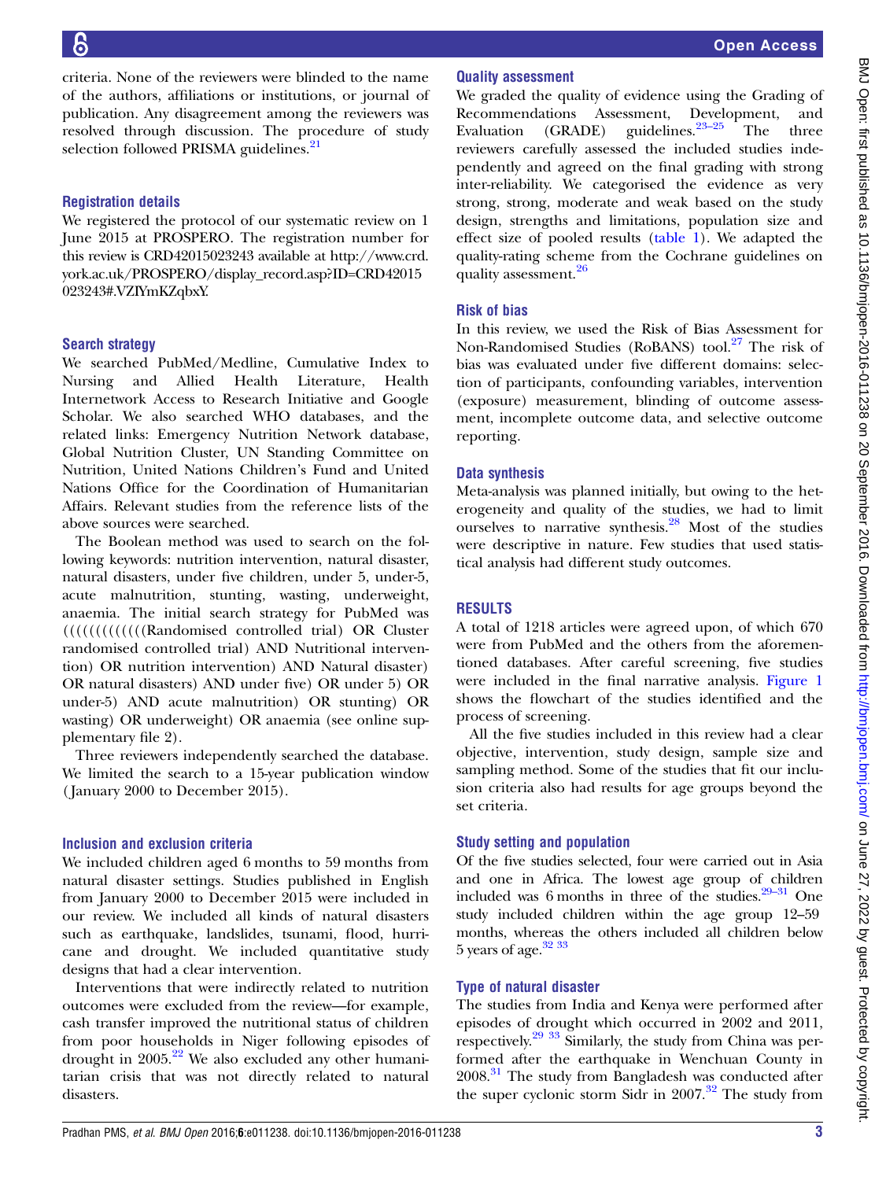criteria. None of the reviewers were blinded to the name of the authors, affiliations or institutions, or journal of publication. Any disagreement among the reviewers was resolved through discussion. The procedure of study selection followed PRISMA guidelines.<sup>[21](#page-8-0)</sup>

#### Registration details

We registered the protocol of our systematic review on 1 June 2015 at PROSPERO. The registration number for this review is CRD42015023243 available at [http://www.crd.](http://www.crd.york.ac.uk/PROSPERO/display_record.asp?ID=CRD42015023243#.VZIYmKZqbxY) [york.ac.uk/PROSPERO/display\\_record.asp?ID=CRD42015](http://www.crd.york.ac.uk/PROSPERO/display_record.asp?ID=CRD42015023243#.VZIYmKZqbxY) [023243#.VZIYmKZqbxY.](http://www.crd.york.ac.uk/PROSPERO/display_record.asp?ID=CRD42015023243#.VZIYmKZqbxY)

#### Search strategy

We searched PubMed/Medline, Cumulative Index to Nursing and Allied Health Literature, Health Internetwork Access to Research Initiative and Google Scholar. We also searched WHO databases, and the related links: Emergency Nutrition Network database, Global Nutrition Cluster, UN Standing Committee on Nutrition, United Nations Children's Fund and United Nations Office for the Coordination of Humanitarian Affairs. Relevant studies from the reference lists of the above sources were searched.

The Boolean method was used to search on the following keywords: nutrition intervention, natural disaster, natural disasters, under five children, under 5, under-5, acute malnutrition, stunting, wasting, underweight, anaemia. The initial search strategy for PubMed was (((((((((((((Randomised controlled trial) OR Cluster randomised controlled trial) AND Nutritional intervention) OR nutrition intervention) AND Natural disaster) OR natural disasters) AND under five) OR under 5) OR under-5) AND acute malnutrition) OR stunting) OR wasting) OR underweight) OR anaemia (see online supplementary file 2).

Three reviewers independently searched the database. We limited the search to a 15-year publication window ( January 2000 to December 2015).

#### Inclusion and exclusion criteria

We included children aged 6 months to 59 months from natural disaster settings. Studies published in English from January 2000 to December 2015 were included in our review. We included all kinds of natural disasters such as earthquake, landslides, tsunami, flood, hurricane and drought. We included quantitative study designs that had a clear intervention.

Interventions that were indirectly related to nutrition outcomes were excluded from the review—for example, cash transfer improved the nutritional status of children from poor households in Niger following episodes of drought in  $2005<sup>22</sup>$  $2005<sup>22</sup>$  $2005<sup>22</sup>$  We also excluded any other humanitarian crisis that was not directly related to natural disasters.

## Quality assessment

We graded the quality of evidence using the Grading of Recommendations Assessment, Development, and Evaluation (GRADE) guidelines. $23-25$  $23-25$  The three reviewers carefully assessed the included studies independently and agreed on the final grading with strong inter-reliability. We categorised the evidence as very strong, strong, moderate and weak based on the study design, strengths and limitations, population size and effect size of pooled results ([table 1\)](#page-3-0). We adapted the quality-rating scheme from the Cochrane guidelines on quality assessment.<sup>[26](#page-8-0)</sup>

#### Risk of bias

In this review, we used the Risk of Bias Assessment for Non-Randomised Studies (RoBANS) tool.<sup>[27](#page-8-0)</sup> The risk of bias was evaluated under five different domains: selection of participants, confounding variables, intervention (exposure) measurement, blinding of outcome assessment, incomplete outcome data, and selective outcome reporting.

#### Data synthesis

Meta-analysis was planned initially, but owing to the heterogeneity and quality of the studies, we had to limit ourselves to narrative synthesis.[28](#page-8-0) Most of the studies were descriptive in nature. Few studies that used statistical analysis had different study outcomes.

## RESULTS

A total of 1218 articles were agreed upon, of which 670 were from PubMed and the others from the aforementioned databases. After careful screening, five studies were included in the final narrative analysis. [Figure 1](#page-5-0) shows the flowchart of the studies identified and the process of screening.

All the five studies included in this review had a clear objective, intervention, study design, sample size and sampling method. Some of the studies that fit our inclusion criteria also had results for age groups beyond the set criteria.

## Study setting and population

Of the five studies selected, four were carried out in Asia and one in Africa. The lowest age group of children included was 6 months in three of the studies. $29-31$  $29-31$  One study included children within the age group 12–59 months, whereas the others included all children below 5 years of age. $32\frac{33}{2}$ 

#### Type of natural disaster

The studies from India and Kenya were performed after episodes of drought which occurred in 2002 and 2011, respectively.[29 33](#page-9-0) Similarly, the study from China was performed after the earthquake in Wenchuan County in 2008.[31](#page-9-0) The study from Bangladesh was conducted after the super cyclonic storm Sidr in  $2007.^{32}$  $2007.^{32}$  $2007.^{32}$  The study from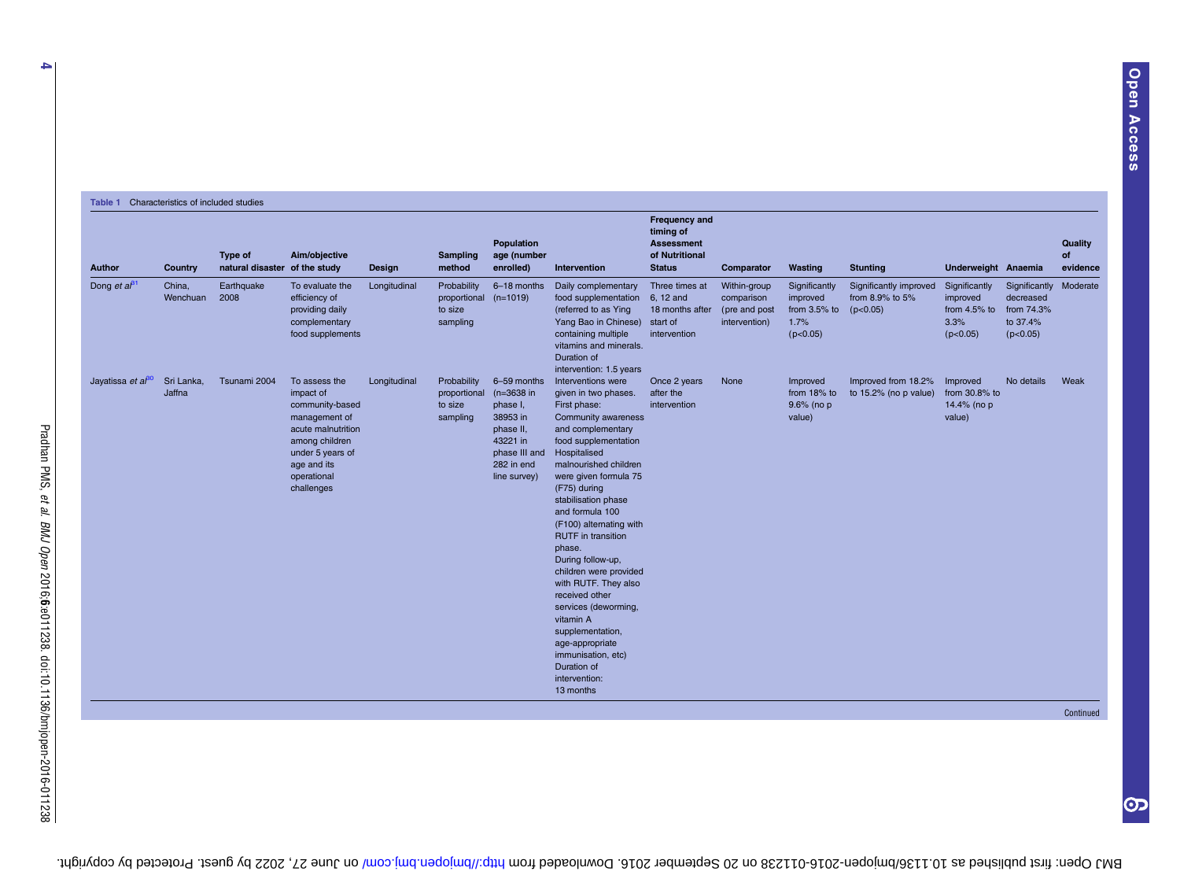#### Table 1 Characteristics of included studies

| <b>Author</b>                    | Country              | Type of<br>natural disaster of the study | Aim/objective                                                                                                                                                          | <b>Design</b> | <b>Sampling</b><br>method                                   | Population<br>age (number<br>enrolled)                                                                                       | Intervention                                                                                                                                                                                                                                                                                                                                                                                                                                                                                                                                                         | <b>Frequency and</b><br>timing of<br><b>Assessment</b><br>of Nutritional<br><b>Status</b> | Comparator                                                   | Wasting                                                         | <b>Stunting</b>                                       | Underweight Anaemia                                              |                                                                  | Quality<br>of<br>evidence |
|----------------------------------|----------------------|------------------------------------------|------------------------------------------------------------------------------------------------------------------------------------------------------------------------|---------------|-------------------------------------------------------------|------------------------------------------------------------------------------------------------------------------------------|----------------------------------------------------------------------------------------------------------------------------------------------------------------------------------------------------------------------------------------------------------------------------------------------------------------------------------------------------------------------------------------------------------------------------------------------------------------------------------------------------------------------------------------------------------------------|-------------------------------------------------------------------------------------------|--------------------------------------------------------------|-----------------------------------------------------------------|-------------------------------------------------------|------------------------------------------------------------------|------------------------------------------------------------------|---------------------------|
| Dong et $a^{\beta}$ <sup>1</sup> | China,<br>Wenchuan   | Earthquake<br>2008                       | To evaluate the<br>efficiency of<br>providing daily<br>complementary<br>food supplements                                                                               | Longitudinal  | Probability<br>proportional (n=1019)<br>to size<br>sampling | 6-18 months                                                                                                                  | Daily complementary<br>food supplementation<br>(referred to as Ying<br>Yang Bao in Chinese)<br>containing multiple<br>vitamins and minerals.<br>Duration of<br>intervention: 1.5 years                                                                                                                                                                                                                                                                                                                                                                               | Three times at<br>6, 12 and<br>18 months after<br>start of<br>intervention                | Within-group<br>comparison<br>(pre and post<br>intervention) | Significantly<br>improved<br>from $3.5%$ to<br>1.7%<br>(p<0.05) | Significantly improved<br>from 8.9% to 5%<br>(p<0.05) | Significantly<br>improved<br>from $4.5\%$ to<br>3.3%<br>(p<0.05) | Significantly<br>decreased<br>from 74.3%<br>to 37.4%<br>(p<0.05) | Moderate                  |
| Jayatissa et $a^{30}$            | Sri Lanka,<br>Jaffna | Tsunami 2004                             | To assess the<br>impact of<br>community-based<br>management of<br>acute malnutrition<br>among children<br>under 5 years of<br>age and its<br>operational<br>challenges | Longitudinal  | Probability<br>proportional<br>to size<br>sampling          | 6-59 months<br>$(n=3638)$ in<br>phase I,<br>38953 in<br>phase II,<br>43221 in<br>phase III and<br>282 in end<br>line survey) | Interventions were<br>given in two phases.<br>First phase:<br>Community awareness<br>and complementary<br>food supplementation<br>Hospitalised<br>malnourished children<br>were given formula 75<br>(F75) during<br>stabilisation phase<br>and formula 100<br>(F100) alternating with<br><b>RUTF</b> in transition<br>phase.<br>During follow-up,<br>children were provided<br>with RUTF. They also<br>received other<br>services (deworming,<br>vitamin A<br>supplementation,<br>age-appropriate<br>immunisation, etc)<br>Duration of<br>intervention:<br>13 months | Once 2 years<br>after the<br>intervention                                                 | None                                                         | Improved<br>from 18% to<br>9.6% (no p<br>value)                 | Improved from 18.2%<br>to $15.2\%$ (no p value)       | Improved<br>from 30.8% to<br>14.4% (no p<br>value)               | No details                                                       | Weak                      |
|                                  |                      |                                          |                                                                                                                                                                        |               |                                                             |                                                                                                                              |                                                                                                                                                                                                                                                                                                                                                                                                                                                                                                                                                                      |                                                                                           |                                                              |                                                                 |                                                       |                                                                  |                                                                  | Continued                 |

<span id="page-3-0"></span> $\Delta$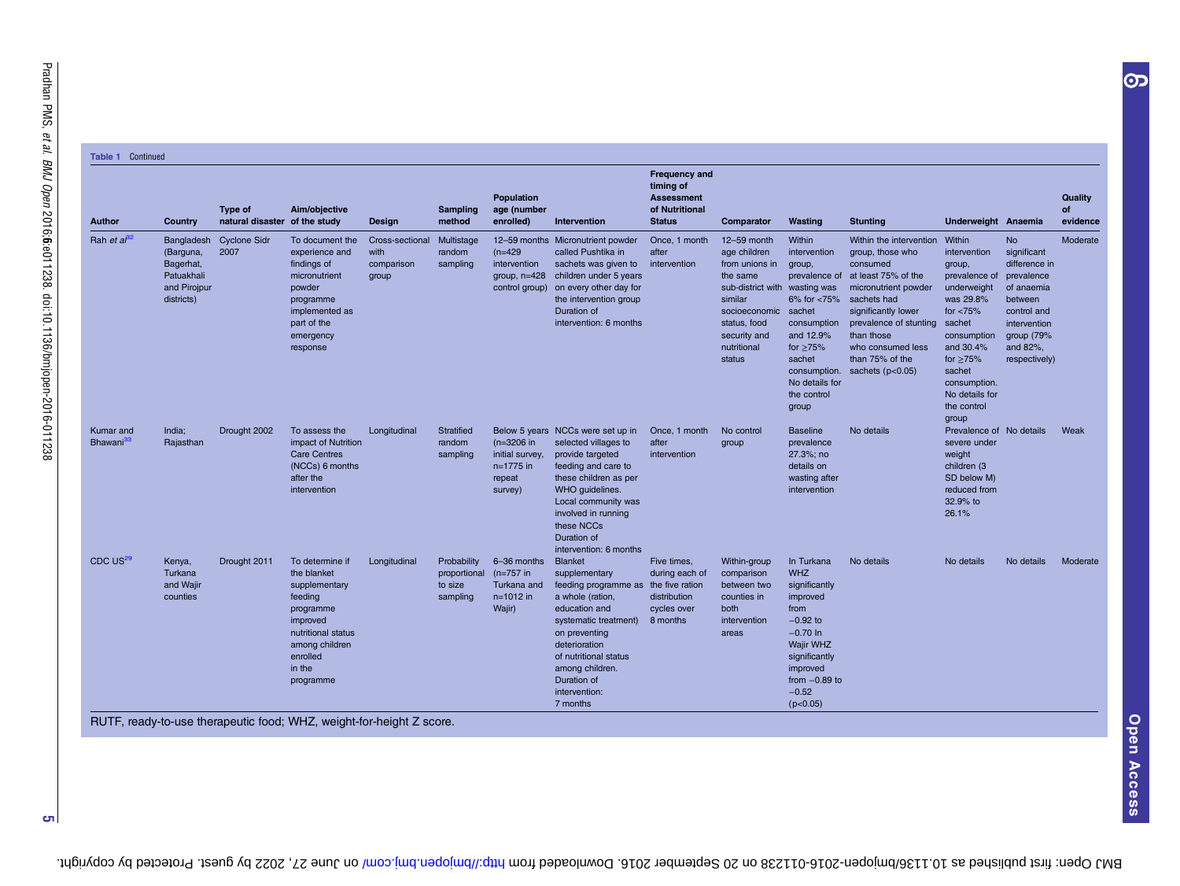| Table 1 | Continued |
|---------|-----------|
|---------|-----------|

| <b>Author</b>                      | Country                                                                          | Type of<br>natural disaster of the study | Aim/objective                                                                                                                                                  | <b>Design</b>                                  | Sampling<br>method                                           | <b>Population</b><br>age (number<br>enrolled)                                 | Intervention                                                                                                                                                                                                                                                    | <b>Frequency and</b><br>timing of<br><b>Assessment</b><br>of Nutritional<br><b>Status</b> | Comparator                                                                                                                                                          | Wasting                                                                                                                                                                              | <b>Stunting</b>                                                                                                                                                                                                                                                                    | Underweight Anaemia                                                                                                                                                                                             |                                                                                                                                                            | Quality<br>of<br>evidence |
|------------------------------------|----------------------------------------------------------------------------------|------------------------------------------|----------------------------------------------------------------------------------------------------------------------------------------------------------------|------------------------------------------------|--------------------------------------------------------------|-------------------------------------------------------------------------------|-----------------------------------------------------------------------------------------------------------------------------------------------------------------------------------------------------------------------------------------------------------------|-------------------------------------------------------------------------------------------|---------------------------------------------------------------------------------------------------------------------------------------------------------------------|--------------------------------------------------------------------------------------------------------------------------------------------------------------------------------------|------------------------------------------------------------------------------------------------------------------------------------------------------------------------------------------------------------------------------------------------------------------------------------|-----------------------------------------------------------------------------------------------------------------------------------------------------------------------------------------------------------------|------------------------------------------------------------------------------------------------------------------------------------------------------------|---------------------------|
| Rah et $a^{\beta 2}$               | Bangladesh<br>(Barguna,<br>Bagerhat,<br>Patuakhali<br>and Pirojpur<br>districts) | <b>Cyclone Sidr</b><br>2007              | To document the<br>experience and<br>findings of<br>micronutrient<br>powder<br>programme<br>implemented as<br>part of the<br>emergency<br>response             | Cross-sectional<br>with<br>comparison<br>group | Multistage<br>random<br>sampling                             | 12-59 months<br>$(n=429)$<br>intervention<br>group, $n=428$<br>control group) | Micronutrient powder<br>called Pushtika in<br>sachets was given to<br>children under 5 years<br>on every other day for<br>the intervention group<br>Duration of<br>intervention: 6 months                                                                       | Once, 1 month<br>after<br>intervention                                                    | 12-59 month<br>age children<br>from unions in<br>the same<br>sub-district with<br>similar<br>socioeconomic<br>status, food<br>security and<br>nutritional<br>status | Within<br>intervention<br>group,<br>wasting was<br>6% for $< 75%$<br>sachet<br>consumption<br>and 12.9%<br>for $\geq 75\%$<br>sachet<br>No details for<br>the control<br>group       | Within the intervention<br>group, those who<br>consumed<br>prevalence of at least 75% of the<br>micronutrient powder<br>sachets had<br>significantly lower<br>prevalence of stunting sachet<br>than those<br>who consumed less<br>than 75% of the<br>consumption. sachets (p<0.05) | Within<br>intervention<br>group,<br>prevalence of<br>underweight<br>was 29.8%<br>for $< 75%$<br>consumption<br>and 30.4%<br>for $\geq 75\%$<br>sachet<br>consumption.<br>No details for<br>the control<br>group | <b>No</b><br>significant<br>difference in<br>prevalence<br>of anaemia<br>between<br>control and<br>intervention<br>group (79%<br>and 82%,<br>respectively) | Moderate                  |
| Kumar and<br>Bhawani <sup>33</sup> | India:<br>Rajasthan                                                              | Drought 2002                             | To assess the<br>impact of Nutrition<br><b>Care Centres</b><br>(NCCs) 6 months<br>after the<br>intervention                                                    | Longitudinal                                   | Stratified<br>random<br>sampling                             | $(n=3206)$ in<br>initial survey,<br>n=1775 in<br>repeat<br>survey)            | Below 5 years NCCs were set up in<br>selected villages to<br>provide targeted<br>feeding and care to<br>these children as per<br>WHO quidelines.<br>Local community was<br>involved in running<br>these NCCs<br>Duration of<br>intervention: 6 months           | Once, 1 month<br>after<br>intervention                                                    | No control<br>group                                                                                                                                                 | <b>Baseline</b><br>prevalence<br>27.3%; no<br>details on<br>wasting after<br>intervention                                                                                            | No details                                                                                                                                                                                                                                                                         | Prevalence of No details<br>severe under<br>weight<br>children (3<br>SD below M)<br>reduced from<br>32.9% to<br>26.1%                                                                                           |                                                                                                                                                            | Weak                      |
| CDC US <sup>29</sup>               | Kenya,<br>Turkana<br>and Wajir<br>counties                                       | Drought 2011                             | To determine if<br>the blanket<br>supplementary<br>feeding<br>programme<br>improved<br>nutritional status<br>among children<br>enrolled<br>in the<br>programme | Longitudinal                                   | Probability<br>proportional (n=757 in<br>to size<br>sampling | 6-36 months<br>Turkana and<br>$n = 1012$ in<br>Wajir)                         | <b>Blanket</b><br>supplementary<br>feeding programme as the five ration<br>a whole (ration,<br>education and<br>systematic treatment)<br>on preventing<br>deterioration<br>of nutritional status<br>among children.<br>Duration of<br>intervention:<br>7 months | Five times,<br>during each of<br>distribution<br>cycles over<br>8 months                  | Within-group<br>comparison<br>between two<br>counties in<br>both<br>intervention<br>areas                                                                           | In Turkana<br><b>WHZ</b><br>significantly<br>improved<br>from<br>$-0.92$ to<br>$-0.70$ In<br><b>Wajir WHZ</b><br>significantly<br>improved<br>from $-0.89$ to<br>$-0.52$<br>(p<0.05) | No details                                                                                                                                                                                                                                                                         | No details                                                                                                                                                                                                      | No details                                                                                                                                                 | Moderate                  |

 $\sigma$ 

 $\overline{\mathbf{C}}$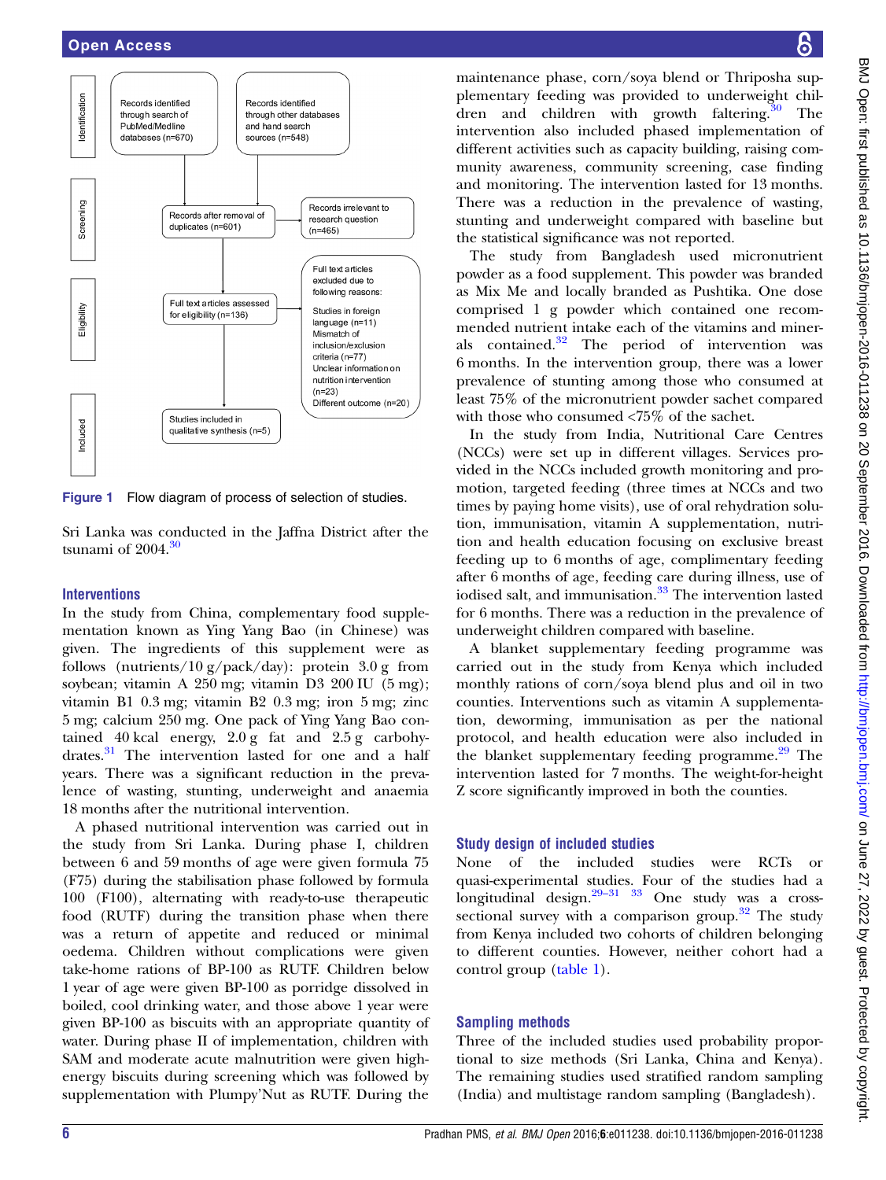<span id="page-5-0"></span>

Figure 1 Flow diagram of process of selection of studies.

Sri Lanka was conducted in the Jaffna District after the tsunami of  $2004.<sup>30</sup>$  $2004.<sup>30</sup>$  $2004.<sup>30</sup>$ 

#### **Interventions**

In the study from China, complementary food supplementation known as Ying Yang Bao (in Chinese) was given. The ingredients of this supplement were as follows (nutrients/10 g/pack/day): protein  $3.0 \text{ g}$  from soybean; vitamin A 250 mg; vitamin D3 200 IU (5 mg); vitamin B1 0.3 mg; vitamin B2 0.3 mg; iron 5 mg; zinc 5 mg; calcium 250 mg. One pack of Ying Yang Bao contained 40 kcal energy, 2.0 g fat and 2.5 g carbohy-drates.<sup>[31](#page-9-0)</sup> The intervention lasted for one and a half years. There was a significant reduction in the prevalence of wasting, stunting, underweight and anaemia 18 months after the nutritional intervention.

A phased nutritional intervention was carried out in the study from Sri Lanka. During phase I, children between 6 and 59 months of age were given formula 75 (F75) during the stabilisation phase followed by formula 100 (F100), alternating with ready-to-use therapeutic food (RUTF) during the transition phase when there was a return of appetite and reduced or minimal oedema. Children without complications were given take-home rations of BP-100 as RUTF. Children below 1 year of age were given BP-100 as porridge dissolved in boiled, cool drinking water, and those above 1 year were given BP-100 as biscuits with an appropriate quantity of water. During phase II of implementation, children with SAM and moderate acute malnutrition were given highenergy biscuits during screening which was followed by supplementation with Plumpy'Nut as RUTF. During the

maintenance phase, corn/soya blend or Thriposha supplementary feeding was provided to underweight chil-dren and children with growth faltering.<sup>[30](#page-9-0)</sup> The intervention also included phased implementation of different activities such as capacity building, raising community awareness, community screening, case finding and monitoring. The intervention lasted for 13 months. There was a reduction in the prevalence of wasting, stunting and underweight compared with baseline but the statistical significance was not reported.

The study from Bangladesh used micronutrient powder as a food supplement. This powder was branded as Mix Me and locally branded as Pushtika. One dose comprised 1 g powder which contained one recommended nutrient intake each of the vitamins and minerals contained. $32$  The period of intervention was 6 months. In the intervention group, there was a lower prevalence of stunting among those who consumed at least 75% of the micronutrient powder sachet compared with those who consumed <75% of the sachet.

In the study from India, Nutritional Care Centres (NCCs) were set up in different villages. Services provided in the NCCs included growth monitoring and promotion, targeted feeding (three times at NCCs and two times by paying home visits), use of oral rehydration solution, immunisation, vitamin A supplementation, nutrition and health education focusing on exclusive breast feeding up to 6 months of age, complimentary feeding after 6 months of age, feeding care during illness, use of iodised salt, and immunisation.<sup>[33](#page-9-0)</sup> The intervention lasted for 6 months. There was a reduction in the prevalence of underweight children compared with baseline.

A blanket supplementary feeding programme was carried out in the study from Kenya which included monthly rations of corn/soya blend plus and oil in two counties. Interventions such as vitamin A supplementation, deworming, immunisation as per the national protocol, and health education were also included in the blanket supplementary feeding programme. $29$  The intervention lasted for 7 months. The weight-for-height Z score significantly improved in both the counties.

#### Study design of included studies

None of the included studies were RCTs or quasi-experimental studies. Four of the studies had a longitudinal design. $29-31$  33 One study was a cross-sectional survey with a comparison group.<sup>[32](#page-9-0)</sup> The study from Kenya included two cohorts of children belonging to different counties. However, neither cohort had a control group [\(table 1\)](#page-3-0).

#### Sampling methods

Three of the included studies used probability proportional to size methods (Sri Lanka, China and Kenya). The remaining studies used stratified random sampling (India) and multistage random sampling (Bangladesh).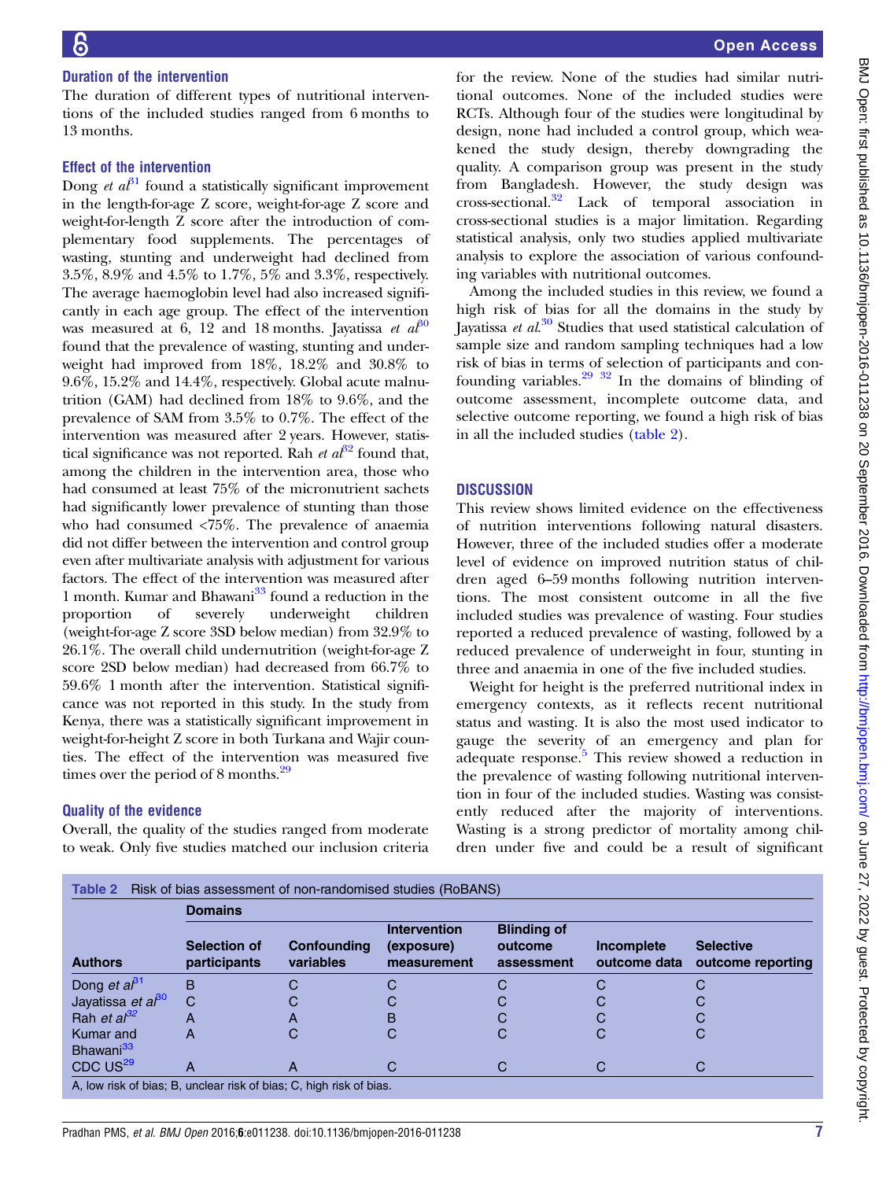#### Duration of the intervention

The duration of different types of nutritional interventions of the included studies ranged from 6 months to 13 months.

#### Effect of the intervention

Dong *et a* $\ell^{31}$  $\ell^{31}$  $\ell^{31}$  found a statistically significant improvement in the length-for-age Z score, weight-for-age Z score and weight-for-length Z score after the introduction of complementary food supplements. The percentages of wasting, stunting and underweight had declined from 3.5%, 8.9% and 4.5% to 1.7%, 5% and 3.3%, respectively. The average haemoglobin level had also increased significantly in each age group. The effect of the intervention was measured at 6, 12 and 18 months. Jayatissa et  $a<sup>30</sup>$  $a<sup>30</sup>$  $a<sup>30</sup>$ found that the prevalence of wasting, stunting and underweight had improved from 18%, 18.2% and 30.8% to 9.6%, 15.2% and 14.4%, respectively. Global acute malnutrition (GAM) had declined from 18% to 9.6%, and the prevalence of SAM from 3.5% to 0.7%. The effect of the intervention was measured after 2 years. However, statistical significance was not reported. Rah *et*  $a\delta^2$  found that, among the children in the intervention area, those who had consumed at least 75% of the micronutrient sachets had significantly lower prevalence of stunting than those who had consumed <75%. The prevalence of anaemia did not differ between the intervention and control group even after multivariate analysis with adjustment for various factors. The effect of the intervention was measured after 1 month. Kumar and Bhawani<sup>33</sup> found a reduction in the proportion of severely underweight children (weight-for-age Z score 3SD below median) from 32.9% to 26.1%. The overall child undernutrition (weight-for-age Z score 2SD below median) had decreased from 66.7% to 59.6% 1 month after the intervention. Statistical significance was not reported in this study. In the study from Kenya, there was a statistically significant improvement in weight-for-height Z score in both Turkana and Wajir counties. The effect of the intervention was measured five times over the period of 8 months. $29$ 

#### Quality of the evidence

Overall, the quality of the studies ranged from moderate to weak. Only five studies matched our inclusion criteria for the review. None of the studies had similar nutritional outcomes. None of the included studies were RCTs. Although four of the studies were longitudinal by design, none had included a control group, which weakened the study design, thereby downgrading the quality. A comparison group was present in the study from Bangladesh. However, the study design was cross-sectional.[32](#page-9-0) Lack of temporal association in cross-sectional studies is a major limitation. Regarding statistical analysis, only two studies applied multivariate analysis to explore the association of various confounding variables with nutritional outcomes.

Among the included studies in this review, we found a high risk of bias for all the domains in the study by Jayatissa et al.<sup>[30](#page-9-0)</sup> Studies that used statistical calculation of sample size and random sampling techniques had a low risk of bias in terms of selection of participants and confounding variables.<sup>29</sup>  $\frac{32}{2}$  In the domains of blinding of outcome assessment, incomplete outcome data, and selective outcome reporting, we found a high risk of bias in all the included studies (table 2).

#### **DISCUSSION**

This review shows limited evidence on the effectiveness of nutrition interventions following natural disasters. However, three of the included studies offer a moderate level of evidence on improved nutrition status of children aged 6–59 months following nutrition interventions. The most consistent outcome in all the five included studies was prevalence of wasting. Four studies reported a reduced prevalence of wasting, followed by a reduced prevalence of underweight in four, stunting in three and anaemia in one of the five included studies.

Weight for height is the preferred nutritional index in emergency contexts, as it reflects recent nutritional status and wasting. It is also the most used indicator to gauge the severity of an emergency and plan for adequate response.<sup>[5](#page-8-0)</sup> This review showed a reduction in the prevalence of wasting following nutritional intervention in four of the included studies. Wasting was consistently reduced after the majority of interventions. Wasting is a strong predictor of mortality among children under five and could be a result of significant

|                                    | <b>Domains</b>                      |                                 |                                                  |                                             |                            |                                       |  |  |  |  |  |
|------------------------------------|-------------------------------------|---------------------------------|--------------------------------------------------|---------------------------------------------|----------------------------|---------------------------------------|--|--|--|--|--|
| <b>Authors</b>                     | Selection of<br><b>participants</b> | <b>Confounding</b><br>variables | <b>Intervention</b><br>(exposure)<br>measurement | <b>Blinding of</b><br>outcome<br>assessment | Incomplete<br>outcome data | <b>Selective</b><br>outcome reporting |  |  |  |  |  |
| Dong et $a^{\beta 1}$              | B                                   | C                               | C                                                |                                             |                            |                                       |  |  |  |  |  |
| Jayatissa et al <sup>30</sup>      | C                                   |                                 |                                                  |                                             |                            |                                       |  |  |  |  |  |
| Rah <i>et al</i> <sup>32</sup>     | А                                   | А                               | B                                                |                                             |                            |                                       |  |  |  |  |  |
| Kumar and<br>Bhawani <sup>33</sup> | A                                   |                                 |                                                  |                                             |                            |                                       |  |  |  |  |  |
| CDC US <sup>29</sup>               | A                                   | А                               | С                                                |                                             |                            | C                                     |  |  |  |  |  |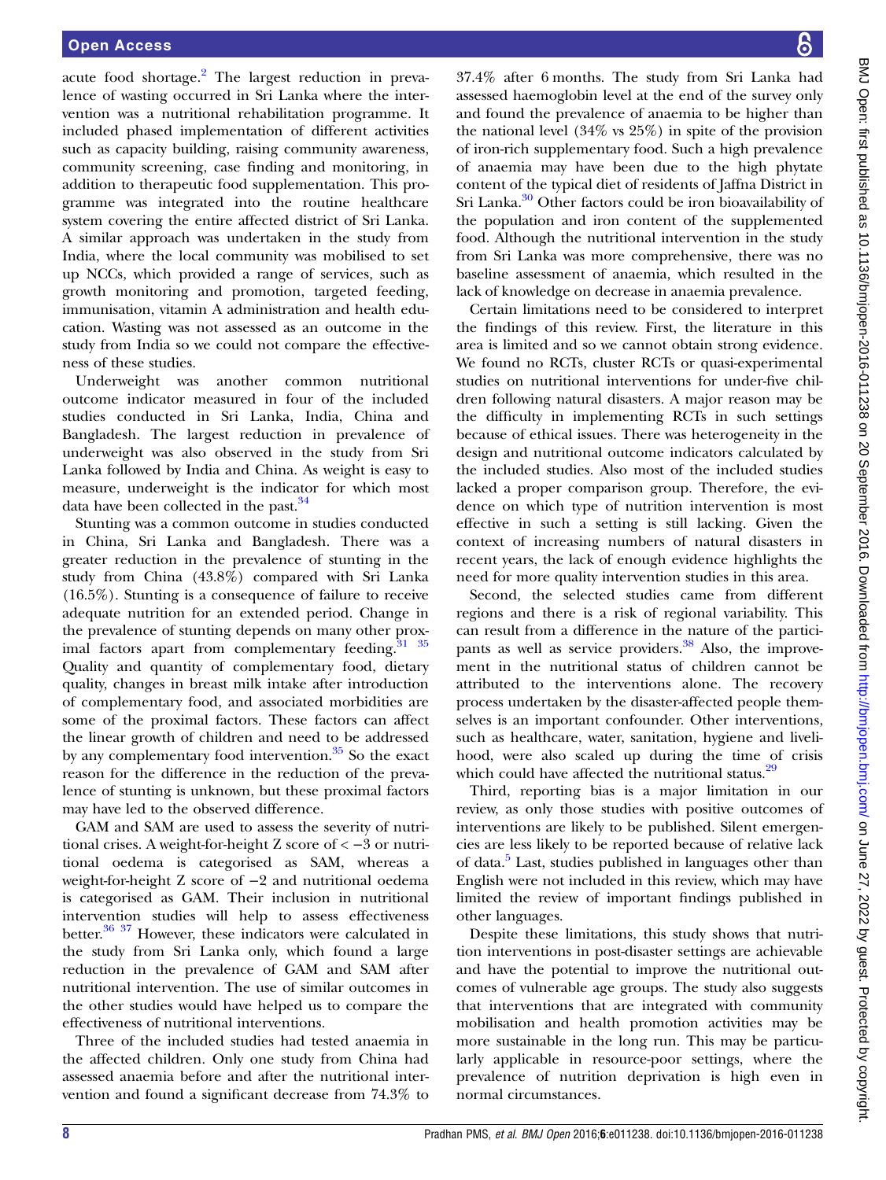acute food shortage.<sup>[2](#page-8-0)</sup> The largest reduction in prevalence of wasting occurred in Sri Lanka where the intervention was a nutritional rehabilitation programme. It included phased implementation of different activities such as capacity building, raising community awareness, community screening, case finding and monitoring, in addition to therapeutic food supplementation. This programme was integrated into the routine healthcare system covering the entire affected district of Sri Lanka. A similar approach was undertaken in the study from India, where the local community was mobilised to set up NCCs, which provided a range of services, such as growth monitoring and promotion, targeted feeding, immunisation, vitamin A administration and health education. Wasting was not assessed as an outcome in the study from India so we could not compare the effectiveness of these studies.

Underweight was another common nutritional outcome indicator measured in four of the included studies conducted in Sri Lanka, India, China and Bangladesh. The largest reduction in prevalence of underweight was also observed in the study from Sri Lanka followed by India and China. As weight is easy to measure, underweight is the indicator for which most data have been collected in the past.<sup>34</sup>

Stunting was a common outcome in studies conducted in China, Sri Lanka and Bangladesh. There was a greater reduction in the prevalence of stunting in the study from China (43.8%) compared with Sri Lanka (16.5%). Stunting is a consequence of failure to receive adequate nutrition for an extended period. Change in the prevalence of stunting depends on many other proximal factors apart from complementary feeding.<sup>31</sup> <sup>35</sup> Quality and quantity of complementary food, dietary quality, changes in breast milk intake after introduction of complementary food, and associated morbidities are some of the proximal factors. These factors can affect the linear growth of children and need to be addressed by any complementary food intervention. $35$  So the exact reason for the difference in the reduction of the prevalence of stunting is unknown, but these proximal factors may have led to the observed difference.

GAM and SAM are used to assess the severity of nutritional crises. A weight-for-height Z score of < −3 or nutritional oedema is categorised as SAM, whereas a weight-for-height Z score of −2 and nutritional oedema is categorised as GAM. Their inclusion in nutritional intervention studies will help to assess effectiveness better. $36 \frac{37}{10}$  However, these indicators were calculated in the study from Sri Lanka only, which found a large reduction in the prevalence of GAM and SAM after nutritional intervention. The use of similar outcomes in the other studies would have helped us to compare the effectiveness of nutritional interventions.

Three of the included studies had tested anaemia in the affected children. Only one study from China had assessed anaemia before and after the nutritional intervention and found a significant decrease from 74.3% to

BMJ Open: first published as 10.1136/bmijopen-2016-011238 on 20 September 2016. Downloaded from http://bmjopen.bmj.com/ on June 27, 2022 by guest. Protected by copyright BMJ Open: first published as 10.1136/bmjopen-2016-01138 on 20 September 2016. Downloaded from by by middished as 10.212 by guest. Protected by copyright.

37.4% after 6 months. The study from Sri Lanka had assessed haemoglobin level at the end of the survey only and found the prevalence of anaemia to be higher than the national level (34% vs 25%) in spite of the provision of iron-rich supplementary food. Such a high prevalence of anaemia may have been due to the high phytate content of the typical diet of residents of Jaffna District in Sri Lanka.<sup>[30](#page-9-0)</sup> Other factors could be iron bioavailability of the population and iron content of the supplemented food. Although the nutritional intervention in the study from Sri Lanka was more comprehensive, there was no baseline assessment of anaemia, which resulted in the lack of knowledge on decrease in anaemia prevalence.

Certain limitations need to be considered to interpret the findings of this review. First, the literature in this area is limited and so we cannot obtain strong evidence. We found no RCTs, cluster RCTs or quasi-experimental studies on nutritional interventions for under-five children following natural disasters. A major reason may be the difficulty in implementing RCTs in such settings because of ethical issues. There was heterogeneity in the design and nutritional outcome indicators calculated by the included studies. Also most of the included studies lacked a proper comparison group. Therefore, the evidence on which type of nutrition intervention is most effective in such a setting is still lacking. Given the context of increasing numbers of natural disasters in recent years, the lack of enough evidence highlights the need for more quality intervention studies in this area.

Second, the selected studies came from different regions and there is a risk of regional variability. This can result from a difference in the nature of the partici-pants as well as service providers.<sup>[38](#page-9-0)</sup> Also, the improvement in the nutritional status of children cannot be attributed to the interventions alone. The recovery process undertaken by the disaster-affected people themselves is an important confounder. Other interventions, such as healthcare, water, sanitation, hygiene and livelihood, were also scaled up during the time of crisis which could have affected the nutritional status.<sup>[29](#page-9-0)</sup>

Third, reporting bias is a major limitation in our review, as only those studies with positive outcomes of interventions are likely to be published. Silent emergencies are less likely to be reported because of relative lack of data.<sup>[5](#page-8-0)</sup> Last, studies published in languages other than English were not included in this review, which may have limited the review of important findings published in other languages.

Despite these limitations, this study shows that nutrition interventions in post-disaster settings are achievable and have the potential to improve the nutritional outcomes of vulnerable age groups. The study also suggests that interventions that are integrated with community mobilisation and health promotion activities may be more sustainable in the long run. This may be particularly applicable in resource-poor settings, where the prevalence of nutrition deprivation is high even in normal circumstances.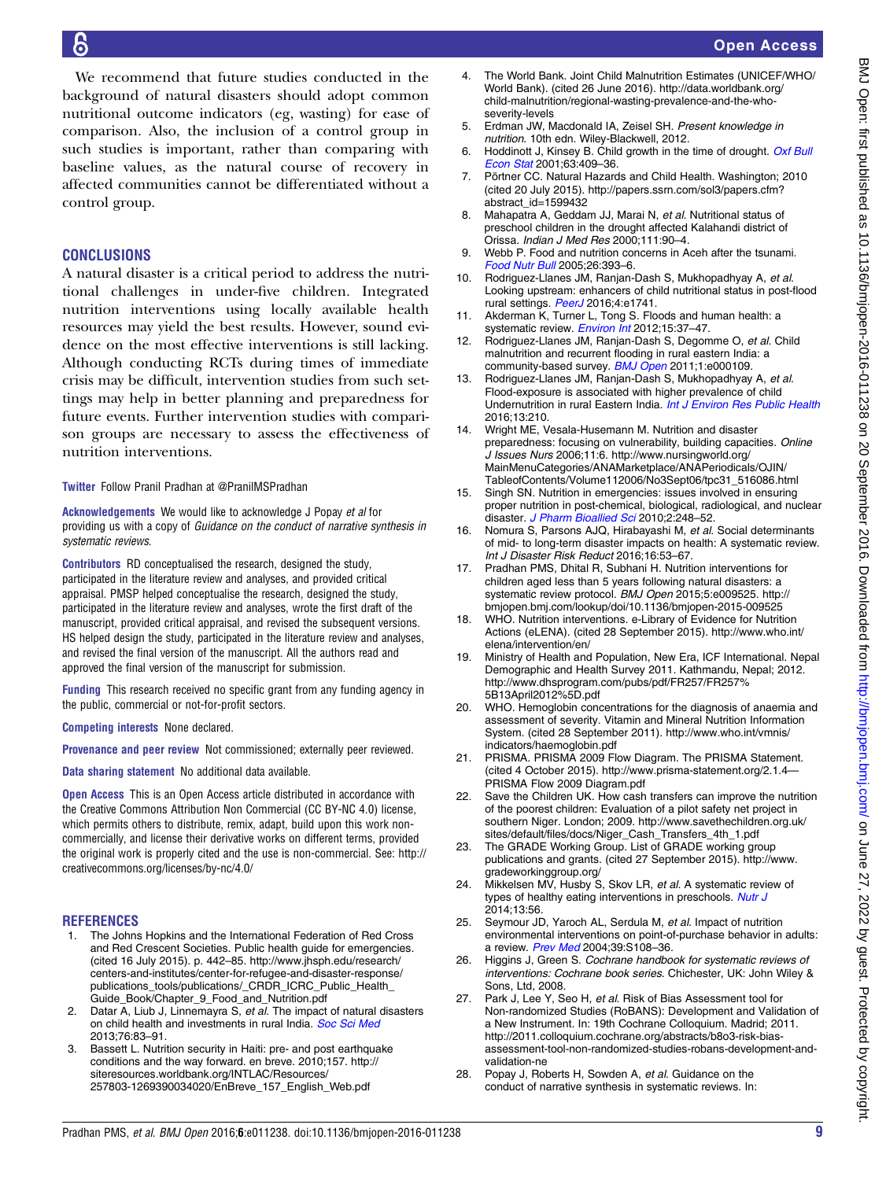<span id="page-8-0"></span>We recommend that future studies conducted in the background of natural disasters should adopt common nutritional outcome indicators (eg, wasting) for ease of comparison. Also, the inclusion of a control group in such studies is important, rather than comparing with baseline values, as the natural course of recovery in affected communities cannot be differentiated without a control group.

#### CONCLUSIONS

A natural disaster is a critical period to address the nutritional challenges in under-five children. Integrated nutrition interventions using locally available health resources may yield the best results. However, sound evidence on the most effective interventions is still lacking. Although conducting RCTs during times of immediate crisis may be difficult, intervention studies from such settings may help in better planning and preparedness for future events. Further intervention studies with comparison groups are necessary to assess the effectiveness of nutrition interventions.

Twitter Follow Pranil Pradhan at [@PranilMSPradhan](http://twitter.com/PranilMSPradhan)

Acknowledgements We would like to acknowledge J Popay et al for providing us with a copy of Guidance on the conduct of narrative synthesis in systematic reviews.

Contributors RD conceptualised the research, designed the study, participated in the literature review and analyses, and provided critical appraisal. PMSP helped conceptualise the research, designed the study, participated in the literature review and analyses, wrote the first draft of the manuscript, provided critical appraisal, and revised the subsequent versions. HS helped design the study, participated in the literature review and analyses, and revised the final version of the manuscript. All the authors read and approved the final version of the manuscript for submission.

Funding This research received no specific grant from any funding agency in the public, commercial or not-for-profit sectors.

Competing interests None declared.

Provenance and peer review Not commissioned; externally peer reviewed.

Data sharing statement No additional data available.

Open Access This is an Open Access article distributed in accordance with the Creative Commons Attribution Non Commercial (CC BY-NC 4.0) license, which permits others to distribute, remix, adapt, build upon this work noncommercially, and license their derivative works on different terms, provided the original work is properly cited and the use is non-commercial. See: [http://](http://creativecommons.org/licenses/by-nc/4.0/) [creativecommons.org/licenses/by-nc/4.0/](http://creativecommons.org/licenses/by-nc/4.0/)

#### **REFERENCES**

- The Johns Hopkins and the International Federation of Red Cross and Red Crescent Societies. Public health guide for emergencies. (cited 16 July 2015). p. 442–85. [http://www.jhsph.edu/research/](http://www.jhsph.edu/research/centers-and-institutes/center-for-refugee-and-disaster-response/publications_tools/publications/_CRDR_ICRC_Public_Health_Guide_Book/Chapter_9_Food_and_Nutrition.pdf) [centers-and-institutes/center-for-refugee-and-disaster-response/](http://www.jhsph.edu/research/centers-and-institutes/center-for-refugee-and-disaster-response/publications_tools/publications/_CRDR_ICRC_Public_Health_Guide_Book/Chapter_9_Food_and_Nutrition.pdf) [publications\\_tools/publications/\\_CRDR\\_ICRC\\_Public\\_Health\\_](http://www.jhsph.edu/research/centers-and-institutes/center-for-refugee-and-disaster-response/publications_tools/publications/_CRDR_ICRC_Public_Health_Guide_Book/Chapter_9_Food_and_Nutrition.pdf) [Guide\\_Book/Chapter\\_9\\_Food\\_and\\_Nutrition.pdf](http://www.jhsph.edu/research/centers-and-institutes/center-for-refugee-and-disaster-response/publications_tools/publications/_CRDR_ICRC_Public_Health_Guide_Book/Chapter_9_Food_and_Nutrition.pdf)
- 2. Datar A, Liub J, Linnemayra S, et al. The impact of natural disasters on child health and investments in rural India. [Soc Sci Med](http://dx.doi.org/10.1016/j.socscimed.2012.10.008) 2013;76:83–91.
- 3. Bassett L. Nutrition security in Haiti: pre- and post earthquake conditions and the way forward. en breve. 2010;157. [http://](http://siteresources.worldbank.org/INTLAC/Resources/257803-1269390034020/EnBreve_157_English_Web.pdf) [siteresources.worldbank.org/INTLAC/Resources/](http://siteresources.worldbank.org/INTLAC/Resources/257803-1269390034020/EnBreve_157_English_Web.pdf) [257803-1269390034020/EnBreve\\_157\\_English\\_Web.pdf](http://siteresources.worldbank.org/INTLAC/Resources/257803-1269390034020/EnBreve_157_English_Web.pdf)
- 4. The World Bank. Joint Child Malnutrition Estimates (UNICEF/WHO/ World Bank). (cited 26 June 2016). [http://data.worldbank.org/](http://data.worldbank.org/child-malnutrition/regional-wasting-prevalence-and-the-who-severity-levels) [child-malnutrition/regional-wasting-prevalence-and-the-who](http://data.worldbank.org/child-malnutrition/regional-wasting-prevalence-and-the-who-severity-levels)[severity-levels](http://data.worldbank.org/child-malnutrition/regional-wasting-prevalence-and-the-who-severity-levels)
- 5. Erdman JW, Macdonald IA, Zeisel SH. Present knowledge in nutrition. 10th edn. Wiley-Blackwell, 2012.
- 6. Hoddinott J, Kinsey B. Child growth in the time of drought. [Oxf Bull](http://dx.doi.org/10.1111/1468-0084.t01-1-00227) [Econ Stat](http://dx.doi.org/10.1111/1468-0084.t01-1-00227) 2001;63:409-36.
- 7. Pörtner CC. Natural Hazards and Child Health. Washington; 2010 (cited 20 July 2015). [http://papers.ssrn.com/sol3/papers.cfm?](http://papers.ssrn.com/sol3/papers.cfm?abstract_id=1599432) [abstract\\_id=1599432](http://papers.ssrn.com/sol3/papers.cfm?abstract_id=1599432)
- 8. Mahapatra A, Geddam JJ, Marai N, et al. Nutritional status of preschool children in the drought affected Kalahandi district of Orissa. Indian J Med Res 2000;111:90–4.
- 9. Webb P. Food and nutrition concerns in Aceh after the tsunami. [Food Nutr Bull](http://dx.doi.org/10.1177/156482650502600409) 2005;26:393–6.
- 10. Rodriguez-Llanes JM, Ranjan-Dash S, Mukhopadhyay A, et al. Looking upstream: enhancers of child nutritional status in post-flood rural settings. [PeerJ](http://dx.doi.org/10.7717/peerj.1741) 2016;4:e1741.
- 11. Akderman K, Turner L, Tong S. Floods and human health: a systematic review. [Environ Int](http://dx.doi.org/10.1016/j.envint.2012.06.003) 2012;15:37-47.
- 12. Rodriguez-Llanes JM, Ranjan-Dash S, Degomme O, et al. Child malnutrition and recurrent flooding in rural eastern India: a community-based survey. **[BMJ Open](http://dx.doi.org/10.1136/bmjopen-2011-000109) 2011**;1:e000109.
- 13. Rodriguez-Llanes JM, Ranjan-Dash S, Mukhopadhyay A, et al. Flood-exposure is associated with higher prevalence of child Undernutrition in rural Eastern India. [Int J Environ Res Public Health](http://dx.doi.org/10.3390/ijerph13020210) 2016;13:210.
- 14. Wright ME, Vesala-Husemann M. Nutrition and disaster preparedness: focusing on vulnerability, building capacities. Online J Issues Nurs 2006;11:6. [http://www.nursingworld.org/](http://www.nursingworld.org/MainMenuCategories/ANAMarketplace/ANAPeriodicals/OJIN/TableofContents/Volume112006/No3Sept06/tpc31_516086.html) [MainMenuCategories/ANAMarketplace/ANAPeriodicals/OJIN/](http://www.nursingworld.org/MainMenuCategories/ANAMarketplace/ANAPeriodicals/OJIN/TableofContents/Volume112006/No3Sept06/tpc31_516086.html) [TableofContents/Volume112006/No3Sept06/tpc31\\_516086.html](http://www.nursingworld.org/MainMenuCategories/ANAMarketplace/ANAPeriodicals/OJIN/TableofContents/Volume112006/No3Sept06/tpc31_516086.html)
- 15. Singh SN. Nutrition in emergencies: issues involved in ensuring proper nutrition in post-chemical, biological, radiological, and nuclear disaster. [J Pharm Bioallied Sci](http://dx.doi.org/10.4103/0975-7406.68507) 2010;2:248-52.
- 16. Nomura S, Parsons AJQ, Hirabayashi M, et al. Social determinants of mid- to long-term disaster impacts on health: A systematic review. Int J Disaster Risk Reduct 2016;16:53–67.
- 17. Pradhan PMS, Dhital R, Subhani H. Nutrition interventions for children aged less than 5 years following natural disasters: a systematic review protocol. BMJ Open 2015;5:e009525. [http://](http://bmjopen.bmj.com/lookup/doi/10.1136/bmjopen-2015-009525) [bmjopen.bmj.com/lookup/doi/10.1136/bmjopen-2015-009525](http://bmjopen.bmj.com/lookup/doi/10.1136/bmjopen-2015-009525)
- 18. WHO. Nutrition interventions. e-Library of Evidence for Nutrition Actions (eLENA). (cited 28 September 2015). [http://www.who.int/](http://www.who.int/elena/intervention/en/) [elena/intervention/en/](http://www.who.int/elena/intervention/en/)
- 19. Ministry of Health and Population, New Era, ICF International. Nepal Demographic and Health Survey 2011. Kathmandu, Nepal; 2012. [http://www.dhsprogram.com/pubs/pdf/FR257/FR257%](http://www.dhsprogram.com/pubs/pdf/FR257/FR257%5B13April2012%5D.pdf) [5B13April2012%5D.pdf](http://www.dhsprogram.com/pubs/pdf/FR257/FR257%5B13April2012%5D.pdf)
- 20. WHO. Hemoglobin concentrations for the diagnosis of anaemia and assessment of severity. Vitamin and Mineral Nutrition Information System. (cited 28 September 2011). [http://www.who.int/vmnis/](http://www.who.int/vmnis/indicators/haemoglobin.pdf) [indicators/haemoglobin.pdf](http://www.who.int/vmnis/indicators/haemoglobin.pdf)
- 21. PRISMA. PRISMA 2009 Flow Diagram. The PRISMA Statement. (cited 4 October 2015).<http://www.prisma-statement.org/2.1.4>— PRISMA Flow 2009 Diagram.pdf
- 22. Save the Children UK. How cash transfers can improve the nutrition of the poorest children: Evaluation of a pilot safety net project in southern Niger. London; 2009. [http://www.savethechildren.org.uk/](http://www.savethechildren.org.uk/sites/default/files/docs/Niger_Cash_Transfers_4th_1.pdf) [sites/default/files/docs/Niger\\_Cash\\_Transfers\\_4th\\_1.pdf](http://www.savethechildren.org.uk/sites/default/files/docs/Niger_Cash_Transfers_4th_1.pdf)
- 23. The GRADE Working Group. List of GRADE working group publications and grants. (cited 27 September 2015). [http://www.](http://www.gradeworkinggroup.org/) [gradeworkinggroup.org/](http://www.gradeworkinggroup.org/)
- 24. Mikkelsen MV, Husby S, Skov LR, et al. A systematic review of types of healthy eating interventions in preschools. [Nutr J](http://dx.doi.org/10.1186/1475-2891-13-56) 2014;13:56.
- 25. Seymour JD, Yaroch AL, Serdula M, et al. Impact of nutrition environmental interventions on point-of-purchase behavior in adults: a review. [Prev Med](http://dx.doi.org/10.1016/j.ypmed.2004.04.002) 2004;39:S108–36.
- 26. Higgins J, Green S. Cochrane handbook for systematic reviews of interventions: Cochrane book series. Chichester, UK: John Wiley & Sons, Ltd, 2008.
- 27. Park J, Lee Y, Seo H, et al. Risk of Bias Assessment tool for Non-randomized Studies (RoBANS): Development and Validation of a New Instrument. In: 19th Cochrane Colloquium. Madrid; 2011. [http://2011.colloquium.cochrane.org/abstracts/b8o3-risk-bias](http://2011.colloquium.cochrane.org/abstracts/b8o3-risk-bias-assessment-tool-non-randomized-studies-robans-development-and-validation-ne)[assessment-tool-non-randomized-studies-robans-development-and](http://2011.colloquium.cochrane.org/abstracts/b8o3-risk-bias-assessment-tool-non-randomized-studies-robans-development-and-validation-ne)[validation-ne](http://2011.colloquium.cochrane.org/abstracts/b8o3-risk-bias-assessment-tool-non-randomized-studies-robans-development-and-validation-ne)
- 28. Popay J, Roberts H, Sowden A, et al. Guidance on the conduct of narrative synthesis in systematic reviews. In: